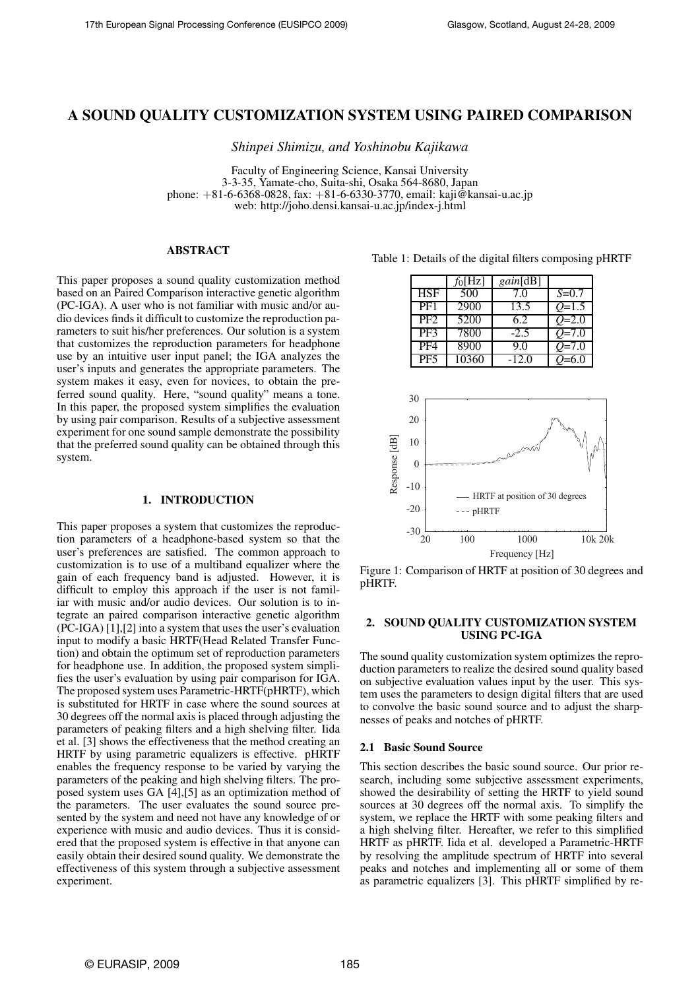# A SOUND QUALITY CUSTOMIZATION SYSTEM USING PAIRED COMPARISON

*Shinpei Shimizu, and Yoshinobu Kajikawa*

Faculty of Engineering Science, Kansai University 3-3-35, Yamate-cho, Suita-shi, Osaka 564-8680, Japan phone: +81-6-6368-0828, fax: +81-6-6330-3770, email: kaji@kansai-u.ac.jp web: http://joho.densi.kansai-u.ac.jp/index-j.html

# ABSTRACT

This paper proposes a sound quality customization method based on an Paired Comparison interactive genetic algorithm (PC-IGA). A user who is not familiar with music and/or audio devices finds it difficult to customize the reproduction parameters to suit his/her preferences. Our solution is a system that customizes the reproduction parameters for headphone use by an intuitive user input panel; the IGA analyzes the user's inputs and generates the appropriate parameters. The system makes it easy, even for novices, to obtain the preferred sound quality. Here, "sound quality" means a tone. In this paper, the proposed system simplifies the evaluation by using pair comparison. Results of a subjective assessment experiment for one sound sample demonstrate the possibility that the preferred sound quality can be obtained through this system.

### 1. INTRODUCTION

This paper proposes a system that customizes the reproduction parameters of a headphone-based system so that the user's preferences are satisfied. The common approach to customization is to use of a multiband equalizer where the gain of each frequency band is adjusted. However, it is difficult to employ this approach if the user is not familiar with music and/or audio devices. Our solution is to integrate an paired comparison interactive genetic algorithm (PC-IGA) [1],[2] into a system that uses the user's evaluation input to modify a basic HRTF(Head Related Transfer Function) and obtain the optimum set of reproduction parameters for headphone use. In addition, the proposed system simplifies the user's evaluation by using pair comparison for IGA. The proposed system uses Parametric-HRTF(pHRTF), which is substituted for HRTF in case where the sound sources at 30 degrees off the normal axis is placed through adjusting the parameters of peaking filters and a high shelving filter. Iida et al. [3] shows the effectiveness that the method creating an HRTF by using parametric equalizers is effective. pHRTF enables the frequency response to be varied by varying the parameters of the peaking and high shelving filters. The proposed system uses GA [4],[5] as an optimization method of the parameters. The user evaluates the sound source presented by the system and need not have any knowledge of or experience with music and audio devices. Thus it is considered that the proposed system is effective in that anyone can easily obtain their desired sound quality. We demonstrate the effectiveness of this system through a subjective assessment experiment.

| Table 1: Details of the digital filters composing pHRTF |  |  |
|---------------------------------------------------------|--|--|
|                                                         |  |  |
|                                                         |  |  |

|                 | $f_0[Hz]$ | <i>gain</i> [dB] |           |
|-----------------|-----------|------------------|-----------|
| HSF             | 500       | 7.0              | $S = 0.7$ |
| PF <sub>1</sub> | 2900      | 13.5             | $O=1.5$   |
| PF <sub>2</sub> | 5200      | 6.2              | $O=2.0$   |
| PF3             | 7800      | $-2.5$           | $O = 7.0$ |
| PF4             | 8900      | 9.0              | $Q=7.0$   |
| PF <sub>5</sub> | 10360     | $-12.0$          | $=6.0$    |



Figure 1: Comparison of HRTF at position of 30 degrees and pHRTF.

# 2. SOUND QUALITY CUSTOMIZATION SYSTEM USING PC-IGA

The sound quality customization system optimizes the reproduction parameters to realize the desired sound quality based on subjective evaluation values input by the user. This system uses the parameters to design digital filters that are used to convolve the basic sound source and to adjust the sharpnesses of peaks and notches of pHRTF.

# 2.1 Basic Sound Source

This section describes the basic sound source. Our prior research, including some subjective assessment experiments, showed the desirability of setting the HRTF to yield sound sources at 30 degrees off the normal axis. To simplify the system, we replace the HRTF with some peaking filters and a high shelving filter. Hereafter, we refer to this simplified HRTF as pHRTF. Iida et al. developed a Parametric-HRTF by resolving the amplitude spectrum of HRTF into several peaks and notches and implementing all or some of them as parametric equalizers [3]. This pHRTF simplified by re-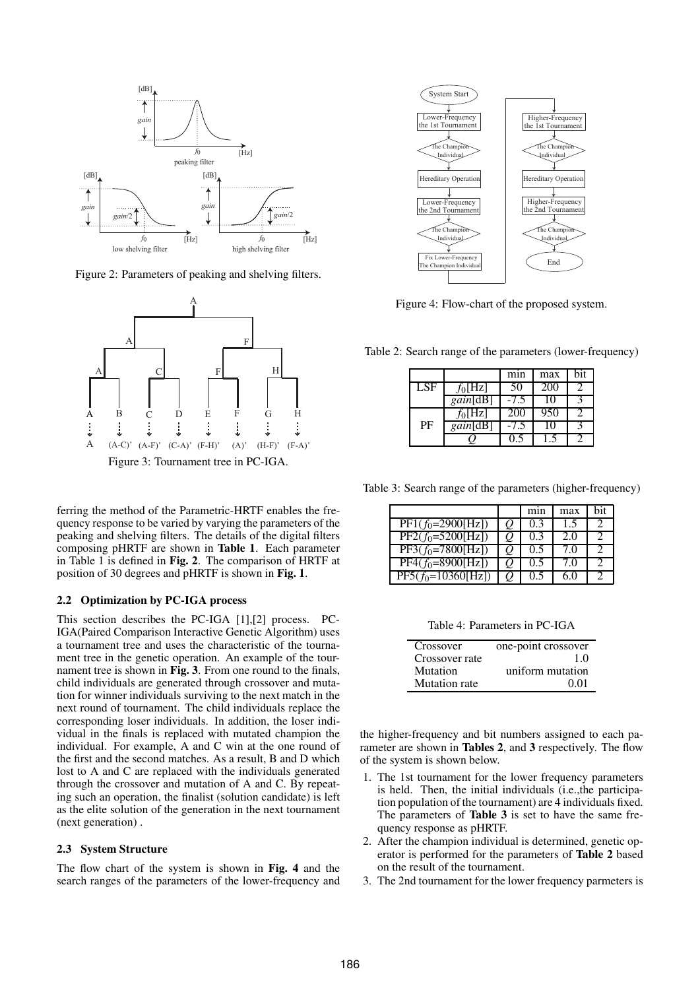

Figure 2: Parameters of peaking and shelving filters.



ferring the method of the Parametric-HRTF enables the frequency response to be varied by varying the parameters of the peaking and shelving filters. The details of the digital filters composing pHRTF are shown in Table 1. Each parameter in Table 1 is defined in Fig. 2. The comparison of HRTF at position of 30 degrees and pHRTF is shown in Fig. 1.

### 2.2 Optimization by PC-IGA process

This section describes the PC-IGA [1],[2] process. PC-IGA(Paired Comparison Interactive Genetic Algorithm) uses a tournament tree and uses the characteristic of the tournament tree in the genetic operation. An example of the tournament tree is shown in Fig. 3. From one round to the finals, child individuals are generated through crossover and mutation for winner individuals surviving to the next match in the next round of tournament. The child individuals replace the corresponding loser individuals. In addition, the loser individual in the finals is replaced with mutated champion the individual. For example, A and C win at the one round of the first and the second matches. As a result, B and D which lost to A and C are replaced with the individuals generated through the crossover and mutation of A and C. By repeating such an operation, the finalist (solution candidate) is left as the elite solution of the generation in the next tournament (next generation) .

#### 2.3 System Structure

The flow chart of the system is shown in Fig. 4 and the search ranges of the parameters of the lower-frequency and



Figure 4: Flow-chart of the proposed system.

Table 2: Search range of the parameters (lower-frequency)

|     |                  | min  | max   | bit |
|-----|------------------|------|-------|-----|
| LSF | $f_0[Hz]$        | 50   | 200   |     |
|     | <i>gain</i> [dB] | -75  | I ( ) |     |
|     | $f_0[Hz]$        | 200  | 950   |     |
| PF  | gain[dB]         | -7.5 | 10    |     |
|     |                  |      |       |     |

Table 3: Search range of the parameters (higher-frequency)

|                                       |    | mnn | max | hit |
|---------------------------------------|----|-----|-----|-----|
| $\overline{PF1(f_0=2900[\text{Hz}])}$ | O. | 0.3 | 1.5 |     |
| $PF2(f_0=5200[Hz])$                   | Ų. | 03  | 2.0 |     |
| $PF3(f_0=7800[\overline{Hz}])$        | Ų. | 0.5 | 7 O |     |
| $PF4(f_0=8900[Hz])$                   | Ų. | 0.5 | 7 O |     |
| $PF5(f_0=10360[Hz])$                  | O  | 0.5 | 6.0 |     |

Table 4: Parameters in PC-IGA

| Crossover            | one-point crossover |
|----------------------|---------------------|
| Crossover rate       | 1.0                 |
| Mutation             | uniform mutation    |
| <b>Mutation</b> rate | 0.01                |

the higher-frequency and bit numbers assigned to each parameter are shown in Tables 2, and 3 respectively. The flow of the system is shown below.

- 1. The 1st tournament for the lower frequency parameters is held. Then, the initial individuals (i.e.,the participation population of the tournament) are 4 individuals fixed. The parameters of **Table 3** is set to have the same frequency response as pHRTF.
- 2. After the champion individual is determined, genetic operator is performed for the parameters of Table 2 based on the result of the tournament.
- 3. The 2nd tournament for the lower frequency parmeters is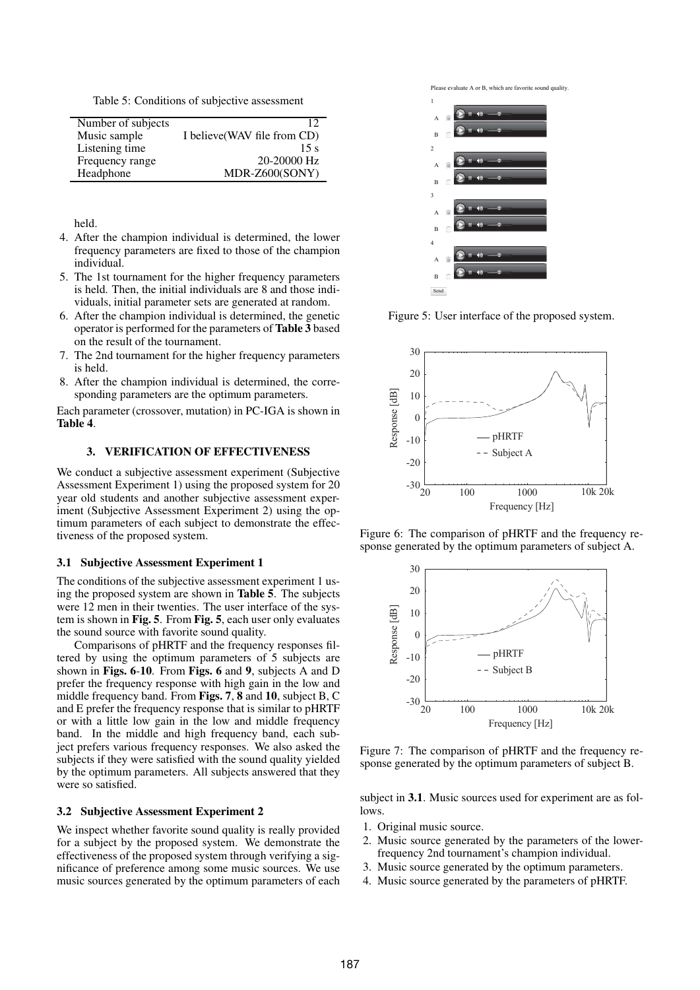Table 5: Conditions of subjective assessment

|                    | 12                           |
|--------------------|------------------------------|
| Number of subjects |                              |
| Music sample       | I believe (WAV file from CD) |
| Listening time     | 15 <sub>s</sub>              |
| Frequency range    | $20 - 20000$ Hz              |
| Headphone          | MDR-Z600(SONY)               |

held.

- 4. After the champion individual is determined, the lower frequency parameters are fixed to those of the champion individual.
- 5. The 1st tournament for the higher frequency parameters is held. Then, the initial individuals are 8 and those individuals, initial parameter sets are generated at random.
- 6. After the champion individual is determined, the genetic operator is performed for the parameters of Table 3 based on the result of the tournament.
- 7. The 2nd tournament for the higher frequency parameters is held.
- 8. After the champion individual is determined, the corresponding parameters are the optimum parameters.

Each parameter (crossover, mutation) in PC-IGA is shown in Table 4.

# 3. VERIFICATION OF EFFECTIVENESS

We conduct a subjective assessment experiment (Subjective Assessment Experiment 1) using the proposed system for 20 year old students and another subjective assessment experiment (Subjective Assessment Experiment 2) using the optimum parameters of each subject to demonstrate the effectiveness of the proposed system.

#### 3.1 Subjective Assessment Experiment 1

The conditions of the subjective assessment experiment 1 using the proposed system are shown in Table 5. The subjects were 12 men in their twenties. The user interface of the system is shown in Fig. 5. From Fig. 5, each user only evaluates the sound source with favorite sound quality.

Comparisons of pHRTF and the frequency responses filtered by using the optimum parameters of 5 subjects are shown in Figs. 6-10. From Figs. 6 and 9, subjects A and D prefer the frequency response with high gain in the low and middle frequency band. From Figs. 7, 8 and 10, subject B, C and E prefer the frequency response that is similar to pHRTF or with a little low gain in the low and middle frequency band. In the middle and high frequency band, each subject prefers various frequency responses. We also asked the subjects if they were satisfied with the sound quality yielded by the optimum parameters. All subjects answered that they were so satisfied.

### 3.2 Subjective Assessment Experiment 2

We inspect whether favorite sound quality is really provided for a subject by the proposed system. We demonstrate the effectiveness of the proposed system through verifying a significance of preference among some music sources. We use music sources generated by the optimum parameters of each





Figure 5: User interface of the proposed system.



Figure 6: The comparison of pHRTF and the frequency response generated by the optimum parameters of subject A.



Figure 7: The comparison of pHRTF and the frequency response generated by the optimum parameters of subject B.

subject in 3.1. Music sources used for experiment are as follows.

- 1. Original music source.
- 2. Music source generated by the parameters of the lowerfrequency 2nd tournament's champion individual.
- 3. Music source generated by the optimum parameters.
- 4. Music source generated by the parameters of pHRTF.